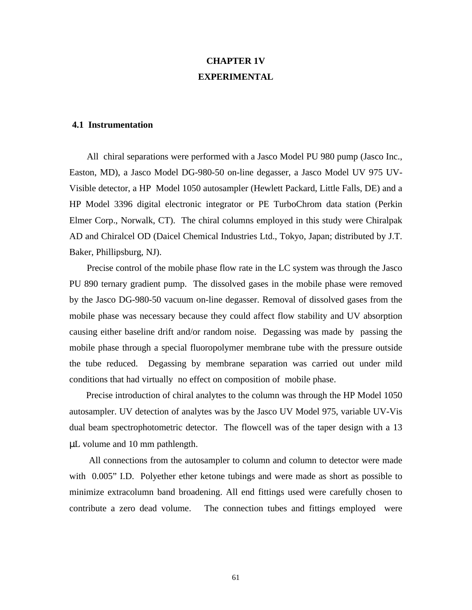# **CHAPTER 1V EXPERIMENTAL**

# **4.1 Instrumentation**

 All chiral separations were performed with a Jasco Model PU 980 pump (Jasco Inc., Easton, MD), a Jasco Model DG-980-50 on-line degasser, a Jasco Model UV 975 UV-Visible detector, a HP Model 1050 autosampler (Hewlett Packard, Little Falls, DE) and a HP Model 3396 digital electronic integrator or PE TurboChrom data station (Perkin Elmer Corp., Norwalk, CT). The chiral columns employed in this study were Chiralpak AD and Chiralcel OD (Daicel Chemical Industries Ltd., Tokyo, Japan; distributed by J.T. Baker, Phillipsburg, NJ).

 Precise control of the mobile phase flow rate in the LC system was through the Jasco PU 890 ternary gradient pump. The dissolved gases in the mobile phase were removed by the Jasco DG-980-50 vacuum on-line degasser. Removal of dissolved gases from the mobile phase was necessary because they could affect flow stability and UV absorption causing either baseline drift and/or random noise. Degassing was made by passing the mobile phase through a special fluoropolymer membrane tube with the pressure outside the tube reduced. Degassing by membrane separation was carried out under mild conditions that had virtually no effect on composition of mobile phase.

 Precise introduction of chiral analytes to the column was through the HP Model 1050 autosampler. UV detection of analytes was by the Jasco UV Model 975, variable UV-Vis dual beam spectrophotometric detector. The flowcell was of the taper design with a 13 μL volume and 10 mm pathlength.

 All connections from the autosampler to column and column to detector were made with 0.005" I.D. Polyether ether ketone tubings and were made as short as possible to minimize extracolumn band broadening. All end fittings used were carefully chosen to contribute a zero dead volume. The connection tubes and fittings employed were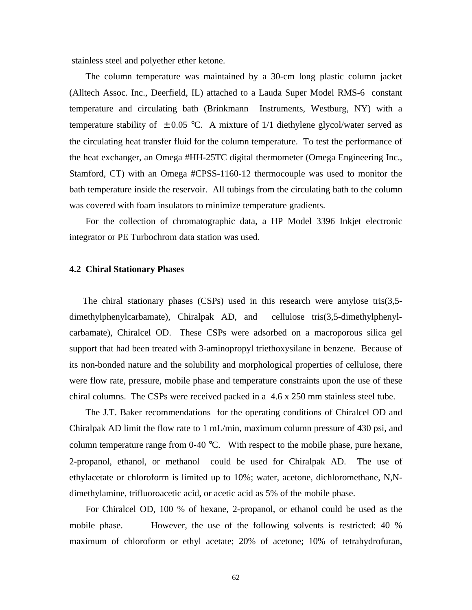stainless steel and polyether ether ketone.

 The column temperature was maintained by a 30-cm long plastic column jacket (Alltech Assoc. Inc., Deerfield, IL) attached to a Lauda Super Model RMS-6 constant temperature and circulating bath (Brinkmann Instruments, Westburg, NY) with a temperature stability of  $\pm 0.05$  °C. A mixture of 1/1 diethylene glycol/water served as the circulating heat transfer fluid for the column temperature. To test the performance of the heat exchanger, an Omega #HH-25TC digital thermometer (Omega Engineering Inc., Stamford, CT) with an Omega #CPSS-1160-12 thermocouple was used to monitor the bath temperature inside the reservoir. All tubings from the circulating bath to the column was covered with foam insulators to minimize temperature gradients.

 For the collection of chromatographic data, a HP Model 3396 Inkjet electronic integrator or PE Turbochrom data station was used.

# **4.2 Chiral Stationary Phases**

 The chiral stationary phases (CSPs) used in this research were amylose tris(3,5 dimethylphenylcarbamate), Chiralpak AD, and cellulose tris(3,5-dimethylphenylcarbamate), Chiralcel OD. These CSPs were adsorbed on a macroporous silica gel support that had been treated with 3-aminopropyl triethoxysilane in benzene. Because of its non-bonded nature and the solubility and morphological properties of cellulose, there were flow rate, pressure, mobile phase and temperature constraints upon the use of these chiral columns.The CSPs were received packed in a 4.6 x 250 mm stainless steel tube.

 The J.T. Baker recommendations for the operating conditions of Chiralcel OD and Chiralpak AD limit the flow rate to 1 mL/min, maximum column pressure of 430 psi, and column temperature range from 0-40 °C. With respect to the mobile phase, pure hexane, 2-propanol, ethanol, or methanol could be used for Chiralpak AD. The use of ethylacetate or chloroform is limited up to 10%; water, acetone, dichloromethane, N,Ndimethylamine, trifluoroacetic acid, or acetic acid as 5% of the mobile phase.

 For Chiralcel OD, 100 % of hexane, 2-propanol, or ethanol could be used as the mobile phase. However, the use of the following solvents is restricted: 40 % maximum of chloroform or ethyl acetate; 20% of acetone; 10% of tetrahydrofuran,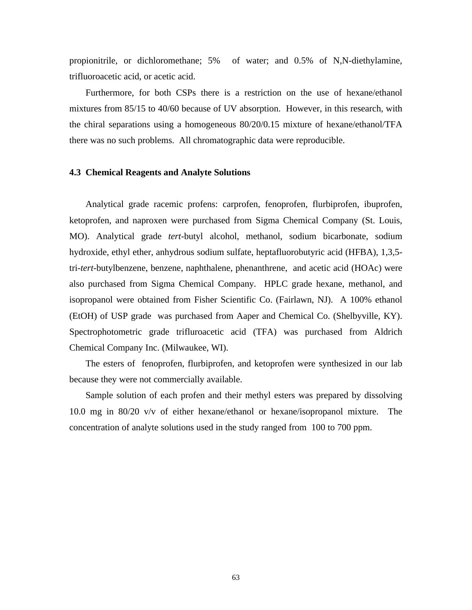propionitrile, or dichloromethane; 5% of water; and 0.5% of N,N-diethylamine, trifluoroacetic acid, or acetic acid.

 Furthermore, for both CSPs there is a restriction on the use of hexane/ethanol mixtures from 85/15 to 40/60 because of UV absorption. However, in this research, with the chiral separations using a homogeneous 80/20/0.15 mixture of hexane/ethanol/TFA there was no such problems. All chromatographic data were reproducible.

#### **4.3 Chemical Reagents and Analyte Solutions**

 Analytical grade racemic profens: carprofen, fenoprofen, flurbiprofen, ibuprofen, ketoprofen, and naproxen were purchased from Sigma Chemical Company (St. Louis, MO). Analytical grade *tert*-butyl alcohol, methanol, sodium bicarbonate, sodium hydroxide, ethyl ether, anhydrous sodium sulfate, heptafluorobutyric acid (HFBA), 1,3,5 tri-*tert*-butylbenzene, benzene, naphthalene, phenanthrene, and acetic acid (HOAc) were also purchased from Sigma Chemical Company. HPLC grade hexane, methanol, and isopropanol were obtained from Fisher Scientific Co. (Fairlawn, NJ). A 100% ethanol (EtOH) of USP grade was purchased from Aaper and Chemical Co. (Shelbyville, KY). Spectrophotometric grade trifluroacetic acid (TFA) was purchased from Aldrich Chemical Company Inc. (Milwaukee, WI).

 The esters of fenoprofen, flurbiprofen, and ketoprofen were synthesized in our lab because they were not commercially available.

 Sample solution of each profen and their methyl esters was prepared by dissolving 10.0 mg in 80/20 v/v of either hexane/ethanol or hexane/isopropanol mixture. The concentration of analyte solutions used in the study ranged from 100 to 700 ppm.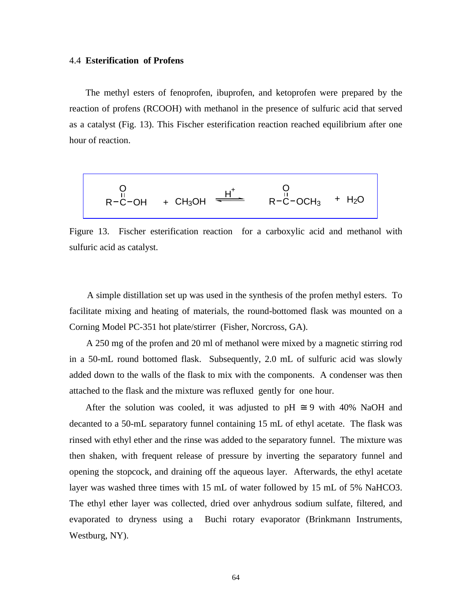#### 4.4 **Esterification of Profens**

 The methyl esters of fenoprofen, ibuprofen, and ketoprofen were prepared by the reaction of profens (RCOOH) with methanol in the presence of sulfuric acid that served as a catalyst (Fig. 13). This Fischer esterification reaction reached equilibrium after one hour of reaction.

$$
\begin{array}{ccc}\nO & O & O \\
R-C-OH & + CH_3OH & \xrightarrow{H^+} & R-C-OCH_3 + H_2O \\
\end{array}
$$

Figure 13. Fischer esterification reaction for a carboxylic acid and methanol with sulfuric acid as catalyst.

 A simple distillation set up was used in the synthesis of the profen methyl esters. To facilitate mixing and heating of materials, the round-bottomed flask was mounted on a Corning Model PC-351 hot plate/stirrer (Fisher, Norcross, GA).

 A 250 mg of the profen and 20 ml of methanol were mixed by a magnetic stirring rod in a 50-mL round bottomed flask. Subsequently, 2.0 mL of sulfuric acid was slowly added down to the walls of the flask to mix with the components. A condenser was then attached to the flask and the mixture was refluxed gently for one hour.

After the solution was cooled, it was adjusted to pH  $\approx$  9 with 40% NaOH and decanted to a 50-mL separatory funnel containing 15 mL of ethyl acetate. The flask was rinsed with ethyl ether and the rinse was added to the separatory funnel. The mixture was then shaken, with frequent release of pressure by inverting the separatory funnel and opening the stopcock, and draining off the aqueous layer. Afterwards, the ethyl acetate layer was washed three times with 15 mL of water followed by 15 mL of 5% NaHCO3. The ethyl ether layer was collected, dried over anhydrous sodium sulfate, filtered, and evaporated to dryness using a Buchi rotary evaporator (Brinkmann Instruments, Westburg, NY).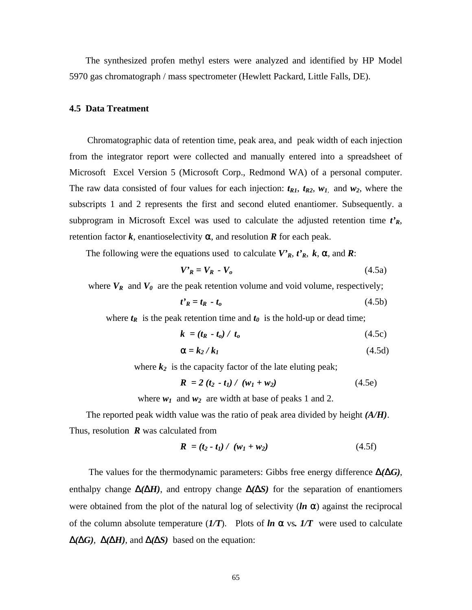The synthesized profen methyl esters were analyzed and identified by HP Model 5970 gas chromatograph / mass spectrometer (Hewlett Packard, Little Falls, DE).

## **4.5 Data Treatment**

 Chromatographic data of retention time, peak area, and peak width of each injection from the integrator report were collected and manually entered into a spreadsheet of Microsoft Excel Version 5 (Microsoft Corp., Redmond WA) of a personal computer. The raw data consisted of four values for each injection:  $t_{R1}$ ,  $t_{R2}$ ,  $w_1$ , and  $w_2$ , where the subscripts 1 and 2 represents the first and second eluted enantiomer. Subsequently. a subprogram in Microsoft Excel was used to calculate the adjusted retention time  $t<sub>R</sub>$ , retention factor  $k$ , enantioselectivity  $a$ , and resolution  $R$  for each peak.

The following were the equations used to calculate  $V'_{R}$ ,  $t'_{R}$ ,  $k$ ,  $a$ , and  $R$ :

$$
\boldsymbol{V'}_{\boldsymbol{R}} = \boldsymbol{V}_{\boldsymbol{R}} - \boldsymbol{V}_o \tag{4.5a}
$$

where  $V_R$  and  $V_\theta$  are the peak retention volume and void volume, respectively;

$$
t'_{R} = t_{R} - t_{o} \tag{4.5b}
$$

where  $t_R$  is the peak retention time and  $t_\theta$  is the hold-up or dead time;

$$
k = (t_R - t_o) / t_o \tag{4.5c}
$$

$$
\mathbf{a} = k_2 / k_1 \tag{4.5d}
$$

where  $k_2$  is the capacity factor of the late eluting peak;

$$
R = 2(t_2 - t_1) / (w_1 + w_2)
$$
 (4.5e)

where  $w_1$  and  $w_2$  are width at base of peaks 1 and 2.

 The reported peak width value was the ratio of peak area divided by height *(A/H)*. Thus, resolution *R* was calculated from

$$
R = (t_2 - t_1) / (w_1 + w_2)
$$
 (4.5f)

 The values for the thermodynamic parameters: Gibbs free energy difference *D(DG)*, enthalpy change  $\mathbf{D}(D\mathbf{H})$ , and entropy change  $\mathbf{D}(D\mathbf{S})$  for the separation of enantiomers were obtained from the plot of the natural log of selectivity (*ln a*) against the reciprocal of the column absolute temperature (*1/T*). Plots of *ln a* vs*. 1/T* were used to calculate *D(DG)*, *D(DH)*, and *D(DS)* based on the equation: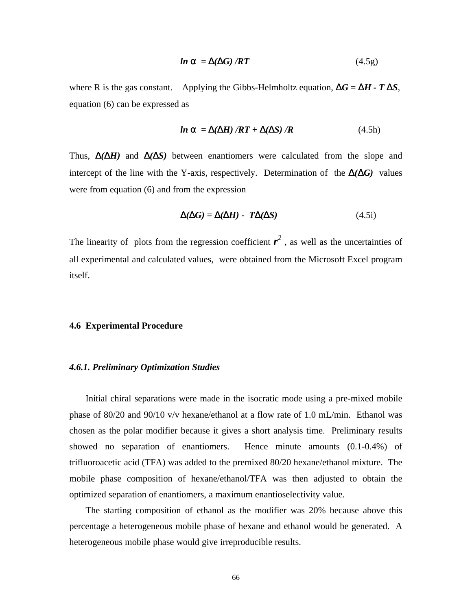$$
ln \mathbf{a} = \mathbf{D}(\mathbf{D}G)/RT
$$
 (4.5g)

where R is the gas constant. Applying the Gibbs-Helmholtz equation,  $\mathbf{D}G = \mathbf{D}H - T \mathbf{D}S$ , equation (6) can be expressed as

$$
ln \mathbf{a} = \mathbf{D}(\mathbf{D}H) / RT + \mathbf{D}(\mathbf{D}S) / R
$$
 (4.5h)

Thus, *D(DH)* and *D(DS)* between enantiomers were calculated from the slope and intercept of the line with the Y-axis, respectively. Determination of the *D(DG)* values were from equation (6) and from the expression

$$
\mathbf{D}(\mathbf{D}G) = \mathbf{D}(\mathbf{D}H) - T\mathbf{D}(\mathbf{D}S) \tag{4.5i}
$$

The linearity of plots from the regression coefficient  $r^2$ , as well as the uncertainties of all experimental and calculated values, were obtained from the Microsoft Excel program itself.

## **4.6 Experimental Procedure**

#### *4.6.1. Preliminary Optimization Studies*

 Initial chiral separations were made in the isocratic mode using a pre-mixed mobile phase of 80/20 and 90/10 v/v hexane/ethanol at a flow rate of 1.0 mL/min. Ethanol was chosen as the polar modifier because it gives a short analysis time. Preliminary results showed no separation of enantiomers. Hence minute amounts (0.1-0.4%) of trifluoroacetic acid (TFA) was added to the premixed 80/20 hexane/ethanol mixture. The mobile phase composition of hexane/ethanol/TFA was then adjusted to obtain the optimized separation of enantiomers, a maximum enantioselectivity value.

 The starting composition of ethanol as the modifier was 20% because above this percentage a heterogeneous mobile phase of hexane and ethanol would be generated. A heterogeneous mobile phase would give irreproducible results.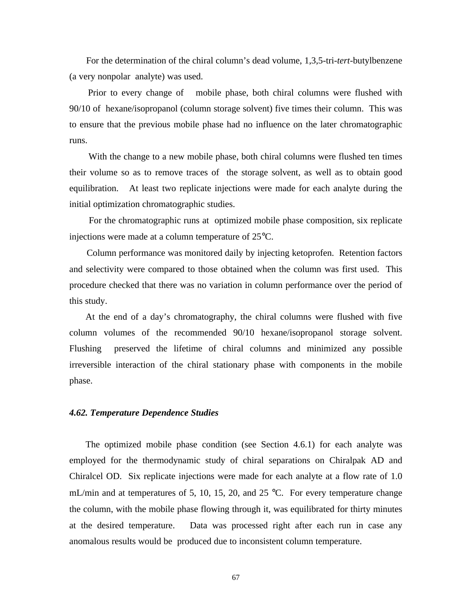For the determination of the chiral column's dead volume, 1,3,5-tri-*tert*-butylbenzene (a very nonpolar analyte) was used.

 Prior to every change of mobile phase, both chiral columns were flushed with 90/10 of hexane/isopropanol (column storage solvent) five times their column. This was to ensure that the previous mobile phase had no influence on the later chromatographic runs.

 With the change to a new mobile phase, both chiral columns were flushed ten times their volume so as to remove traces of the storage solvent, as well as to obtain good equilibration. At least two replicate injections were made for each analyte during the initial optimization chromatographic studies.

 For the chromatographic runs at optimized mobile phase composition, six replicate injections were made at a column temperature of 25°C.

 Column performance was monitored daily by injecting ketoprofen. Retention factors and selectivity were compared to those obtained when the column was first used. This procedure checked that there was no variation in column performance over the period of this study.

 At the end of a day's chromatography, the chiral columns were flushed with five column volumes of the recommended 90/10 hexane/isopropanol storage solvent. Flushing preserved the lifetime of chiral columns and minimized any possible irreversible interaction of the chiral stationary phase with components in the mobile phase.

#### *4.62. Temperature Dependence Studies*

 The optimized mobile phase condition (see Section 4.6.1) for each analyte was employed for the thermodynamic study of chiral separations on Chiralpak AD and Chiralcel OD. Six replicate injections were made for each analyte at a flow rate of 1.0 mL/min and at temperatures of 5, 10, 15, 20, and 25  $^{\circ}$ C. For every temperature change the column, with the mobile phase flowing through it, was equilibrated for thirty minutes at the desired temperature. Data was processed right after each run in case any anomalous results would be produced due to inconsistent column temperature.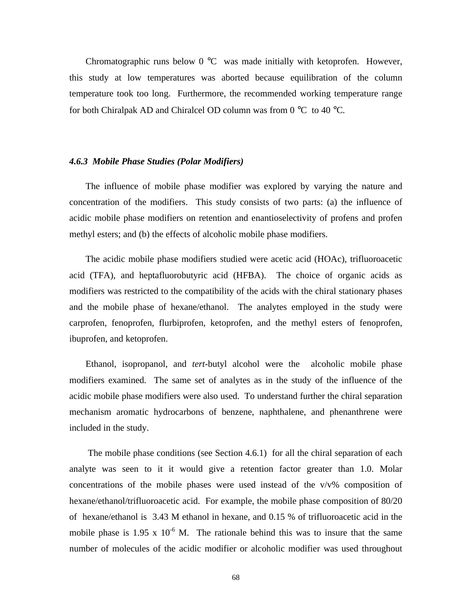Chromatographic runs below 0 °C was made initially with ketoprofen. However, this study at low temperatures was aborted because equilibration of the column temperature took too long. Furthermore, the recommended working temperature range for both Chiralpak AD and Chiralcel OD column was from  $0^{\circ}$ C to 40 °C.

# *4.6.3 Mobile Phase Studies (Polar Modifiers)*

 The influence of mobile phase modifier was explored by varying the nature and concentration of the modifiers. This study consists of two parts: (a) the influence of acidic mobile phase modifiers on retention and enantioselectivity of profens and profen methyl esters; and (b) the effects of alcoholic mobile phase modifiers.

 The acidic mobile phase modifiers studied were acetic acid (HOAc), trifluoroacetic acid (TFA), and heptafluorobutyric acid (HFBA). The choice of organic acids as modifiers was restricted to the compatibility of the acids with the chiral stationary phases and the mobile phase of hexane/ethanol. The analytes employed in the study were carprofen, fenoprofen, flurbiprofen, ketoprofen, and the methyl esters of fenoprofen, ibuprofen, and ketoprofen.

 Ethanol, isopropanol, and *tert*-butyl alcohol were the alcoholic mobile phase modifiers examined. The same set of analytes as in the study of the influence of the acidic mobile phase modifiers were also used. To understand further the chiral separation mechanism aromatic hydrocarbons of benzene, naphthalene, and phenanthrene were included in the study.

 The mobile phase conditions (see Section 4.6.1) for all the chiral separation of each analyte was seen to it it would give a retention factor greater than 1.0. Molar concentrations of the mobile phases were used instead of the v/v% composition of hexane/ethanol/trifluoroacetic acid. For example, the mobile phase composition of 80/20 of hexane/ethanol is 3.43 M ethanol in hexane, and 0.15 % of trifluoroacetic acid in the mobile phase is  $1.95 \times 10^{-6}$  M. The rationale behind this was to insure that the same number of molecules of the acidic modifier or alcoholic modifier was used throughout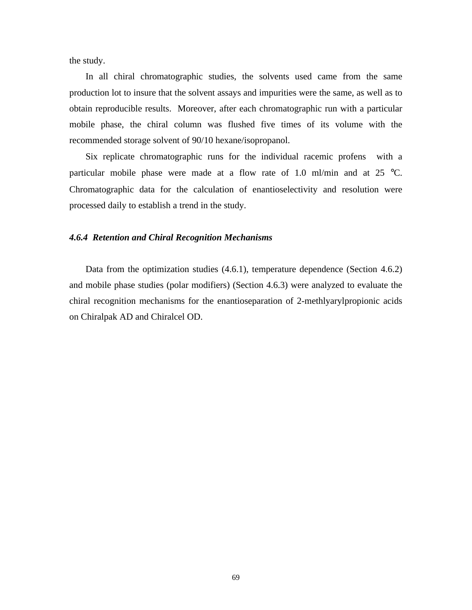the study.

 In all chiral chromatographic studies, the solvents used came from the same production lot to insure that the solvent assays and impurities were the same, as well as to obtain reproducible results. Moreover, after each chromatographic run with a particular mobile phase, the chiral column was flushed five times of its volume with the recommended storage solvent of 90/10 hexane/isopropanol.

 Six replicate chromatographic runs for the individual racemic profens with a particular mobile phase were made at a flow rate of 1.0 ml/min and at 25  $^{\circ}$ C. Chromatographic data for the calculation of enantioselectivity and resolution were processed daily to establish a trend in the study.

# *4.6.4 Retention and Chiral Recognition Mechanisms*

 Data from the optimization studies (4.6.1), temperature dependence (Section 4.6.2) and mobile phase studies (polar modifiers) (Section 4.6.3) were analyzed to evaluate the chiral recognition mechanisms for the enantioseparation of 2-methlyarylpropionic acids on Chiralpak AD and Chiralcel OD.